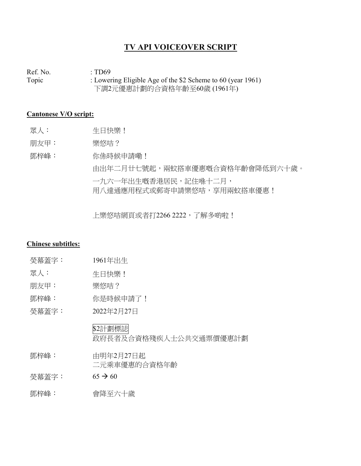## **TV API VOICEOVER SCRIPT**

Ref. No.  $\qquad \qquad : TD69$ Topic : Lowering Eligible Age of the \$2 Scheme to 60 (year 1961) 下調2元優惠計劃的合資格年齡至60歲 (1961年)

## **Cantonese V/O script:**

- 眾人: 生日快樂!
- 朋友甲: 樂悠咭?

鄧梓峰: 你係時候申請嘞! 由出年二月廿七號起,兩蚊搭車優惠嘅合資格年齡會降低到六十歲。 一九六一年出生嘅香港居民,記住喺十二月, 用八達通應用程式或郵寄申請樂悠咭,享用兩蚊搭車優惠!

上樂悠咭網頁或者打2266 2222, 了解多啲啦!

## **Chinese subtitles:**

|  | 眾人: | 生日快樂! |
|--|-----|-------|
|--|-----|-------|

朋友甲: 樂悠咭?

- 鄧梓峰: 你是時候申請了!
- 熒幕蓋字: 2022年2月27日

\$2計劃標誌 政府長者及合資格殘疾人士公共交通票價優惠計劃

- 鄧梓峰: 由明年2月27日起 二元乘車優惠的合資格年齡
- $\frac{1}{2}$   $\frac{1}{2}$   $\frac{1}{2}$   $\frac{1}{2}$   $\frac{1}{2}$   $\frac{1}{2}$   $\frac{1}{2}$   $\frac{1}{2}$   $\frac{1}{2}$   $\frac{1}{2}$   $\frac{1}{2}$   $\frac{1}{2}$   $\frac{1}{2}$   $\frac{1}{2}$   $\frac{1}{2}$   $\frac{1}{2}$   $\frac{1}{2}$   $\frac{1}{2}$   $\frac{1}{2}$   $\frac{1}{2}$   $\frac{1}{2}$   $\frac{1}{$
- 鄧梓峰: 會降至六十歲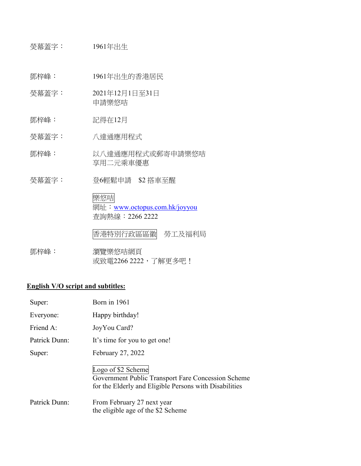熒幕蓋字: 1961年出生

鄧梓峰: 1961年出生的香港居民

- 熒幕蓋字: 2021年12月1日至31日 申請樂悠咭
- 鄧梓峰: 記得在12月
- 熒幕蓋字: 八達通應用程式
- 鄧梓峰: 以八達通應用程式或郵寄申請樂悠咭 享用二元乘車優惠
- 熒幕蓋字: 登6輕鬆申請 \$2 搭車至醒

樂悠咭 網址: [www.octopus.com.hk/joyyou](http://www.octopus.com.hk/joyyou) 查詢熱線:2266 2222

香港特別行政區區徽 勞工及福利局

鄧梓峰: 瀏覽樂悠咭網頁 或致電2266 2222, 了解更多吧!

## **English V/O script and subtitles:**

| Super:        | Born in 1961                                                                                                                       |
|---------------|------------------------------------------------------------------------------------------------------------------------------------|
| Everyone:     | Happy birthday!                                                                                                                    |
| Friend A:     | JoyYou Card?                                                                                                                       |
| Patrick Dunn: | It's time for you to get one!                                                                                                      |
| Super:        | February 27, 2022                                                                                                                  |
|               | Logo of \$2 Scheme<br>Government Public Transport Fare Concession Scheme<br>for the Elderly and Eligible Persons with Disabilities |
| Patrick Dunn: | From February 27 next year<br>the eligible age of the \$2 Scheme                                                                   |